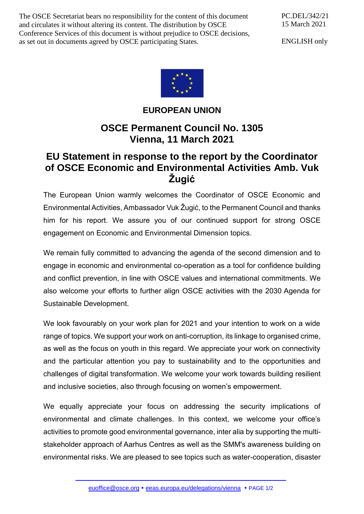The OSCE Secretariat bears no responsibility for the content of this document and circulates it without altering its content. The distribution by OSCE Conference Services of this document is without prejudice to OSCE decisions, as set out in documents agreed by OSCE participating States.

PC.DEL/342/21 15 March 2021

ENGLISH only



## **EUROPEAN UNION**

## **OSCE Permanent Council No. 1305 Vienna, 11 March 2021**

## **EU Statement in response to the report by the Coordinator of OSCE Economic and Environmental Activities Amb. Vuk Žugić**

The European Union warmly welcomes the Coordinator of OSCE Economic and Environmental Activities, Ambassador Vuk Žugić, to the Permanent Council and thanks him for his report. We assure you of our continued support for strong OSCE engagement on Economic and Environmental Dimension topics.

We remain fully committed to advancing the agenda of the second dimension and to engage in economic and environmental co-operation as a tool for confidence building and conflict prevention, in line with OSCE values and international commitments. We also welcome your efforts to further align OSCE activities with the 2030 Agenda for Sustainable Development.

We look favourably on your work plan for 2021 and your intention to work on a wide range of topics. We support your work on anti-corruption, its linkage to organised crime, as well as the focus on youth in this regard. We appreciate your work on connectivity and the particular attention you pay to sustainability and to the opportunities and challenges of digital transformation. We welcome your work towards building resilient and inclusive societies, also through focusing on women's empowerment.

We equally appreciate your focus on addressing the security implications of environmental and climate challenges. In this context, we welcome your office's activities to promote good environmental governance, inter alia by supporting the multistakeholder approach of Aarhus Centres as well as the SMM's awareness building on environmental risks. We are pleased to see topics such as water-cooperation, disaster